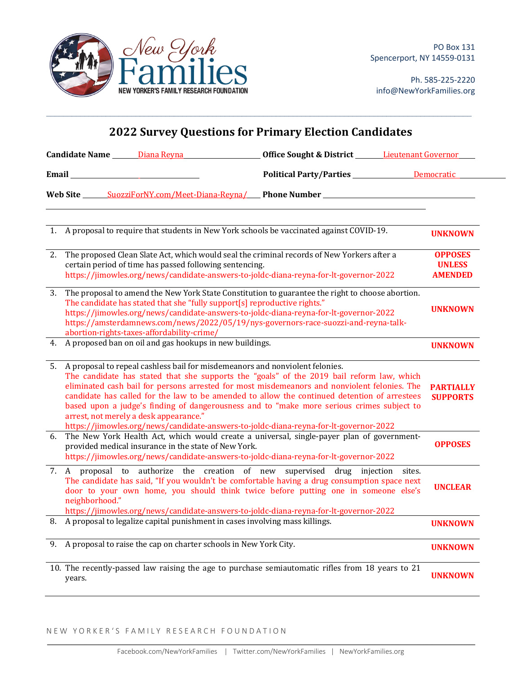

Ph. 585-225-2220 info@NewYorkFamilies.org

|                                                                                       |                                                                                                                                                                                                                                      |                                                                     | <b>2022 Survey Questions for Primary Election Candidates</b>                                                                                                                                                                                                                                                                                                                                                                                                           |                                                   |
|---------------------------------------------------------------------------------------|--------------------------------------------------------------------------------------------------------------------------------------------------------------------------------------------------------------------------------------|---------------------------------------------------------------------|------------------------------------------------------------------------------------------------------------------------------------------------------------------------------------------------------------------------------------------------------------------------------------------------------------------------------------------------------------------------------------------------------------------------------------------------------------------------|---------------------------------------------------|
| Candidate Name Diana Reyna<br><b>Office Sought &amp; District</b> Lieutenant Governor |                                                                                                                                                                                                                                      |                                                                     |                                                                                                                                                                                                                                                                                                                                                                                                                                                                        |                                                   |
|                                                                                       | Email <u>and the contract of the contract of the contract of the contract of the contract of the contract of the contract of the contract of the contract of the contract of the contract of the contract of the contract of the</u> |                                                                     | Political Party/Parties <u>Democratic</u>                                                                                                                                                                                                                                                                                                                                                                                                                              |                                                   |
|                                                                                       |                                                                                                                                                                                                                                      |                                                                     |                                                                                                                                                                                                                                                                                                                                                                                                                                                                        |                                                   |
|                                                                                       |                                                                                                                                                                                                                                      |                                                                     | 1. A proposal to require that students in New York schools be vaccinated against COVID-19.                                                                                                                                                                                                                                                                                                                                                                             | <b>UNKNOWN</b>                                    |
| 2.                                                                                    |                                                                                                                                                                                                                                      | certain period of time has passed following sentencing.             | The proposed Clean Slate Act, which would seal the criminal records of New Yorkers after a<br>https://jimowles.org/news/candidate-answers-to-joldc-diana-reyna-for-lt-governor-2022                                                                                                                                                                                                                                                                                    | <b>OPPOSES</b><br><b>UNLESS</b><br><b>AMENDED</b> |
| 3.                                                                                    |                                                                                                                                                                                                                                      | abortion-rights-taxes-affordability-crime/                          | The proposal to amend the New York State Constitution to guarantee the right to choose abortion.<br>The candidate has stated that she "fully support[s] reproductive rights."<br>https://jimowles.org/news/candidate-answers-to-joldc-diana-reyna-for-lt-governor-2022<br>https://amsterdamnews.com/news/2022/05/19/nys-governors-race-suozzi-and-reyna-talk-                                                                                                          | <b>UNKNOWN</b>                                    |
| 4.                                                                                    |                                                                                                                                                                                                                                      | A proposed ban on oil and gas hookups in new buildings.             |                                                                                                                                                                                                                                                                                                                                                                                                                                                                        | <b>UNKNOWN</b>                                    |
| 5.                                                                                    |                                                                                                                                                                                                                                      | arrest, not merely a desk appearance."                              | A proposal to repeal cashless bail for misdemeanors and nonviolent felonies.<br>The candidate has stated that she supports the "goals" of the 2019 bail reform law, which<br>eliminated cash bail for persons arrested for most misdemeanors and nonviolent felonies. The<br>candidate has called for the law to be amended to allow the continued detention of arrestees<br>based upon a judge's finding of dangerousness and to "make more serious crimes subject to | <b>PARTIALLY</b><br><b>SUPPORTS</b>               |
| 6.                                                                                    |                                                                                                                                                                                                                                      | provided medical insurance in the state of New York.                | https://jimowles.org/news/candidate-answers-to-joldc-diana-reyna-for-lt-governor-2022<br>The New York Health Act, which would create a universal, single-payer plan of government-<br>https://jimowles.org/news/candidate-answers-to-joldc-diana-reyna-for-lt-governor-2022                                                                                                                                                                                            | <b>OPPOSES</b>                                    |
|                                                                                       | neighborhood."                                                                                                                                                                                                                       |                                                                     | 7. A proposal to authorize the creation of new supervised drug injection<br>The candidate has said, "If you wouldn't be comfortable having a drug consumption space next<br>door to your own home, you should think twice before putting one in someone else's<br>https://jimowles.org/news/candidate-answers-to-joldc-diana-reyna-for-lt-governor-2022                                                                                                                | sites.<br><b>UNCLEAR</b>                          |
| 8.                                                                                    |                                                                                                                                                                                                                                      |                                                                     | A proposal to legalize capital punishment in cases involving mass killings.                                                                                                                                                                                                                                                                                                                                                                                            | <b>UNKNOWN</b>                                    |
|                                                                                       |                                                                                                                                                                                                                                      | 9. A proposal to raise the cap on charter schools in New York City. |                                                                                                                                                                                                                                                                                                                                                                                                                                                                        | <b>UNKNOWN</b>                                    |
|                                                                                       | years.                                                                                                                                                                                                                               |                                                                     | 10. The recently-passed law raising the age to purchase semiautomatic rifles from 18 years to 21                                                                                                                                                                                                                                                                                                                                                                       | <b>UNKNOWN</b>                                    |

 $\mathcal{L}_\mathcal{L} = \mathcal{L}_\mathcal{L} = \mathcal{L}_\mathcal{L} = \mathcal{L}_\mathcal{L} = \mathcal{L}_\mathcal{L} = \mathcal{L}_\mathcal{L} = \mathcal{L}_\mathcal{L} = \mathcal{L}_\mathcal{L} = \mathcal{L}_\mathcal{L} = \mathcal{L}_\mathcal{L} = \mathcal{L}_\mathcal{L} = \mathcal{L}_\mathcal{L} = \mathcal{L}_\mathcal{L} = \mathcal{L}_\mathcal{L} = \mathcal{L}_\mathcal{L} = \mathcal{L}_\mathcal{L} = \mathcal{L}_\mathcal{L}$ 

NEW YORKER'S FAMILY RESEARCH FOUNDATION